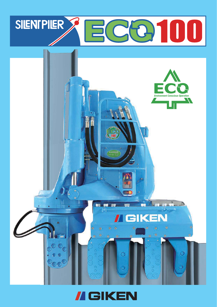